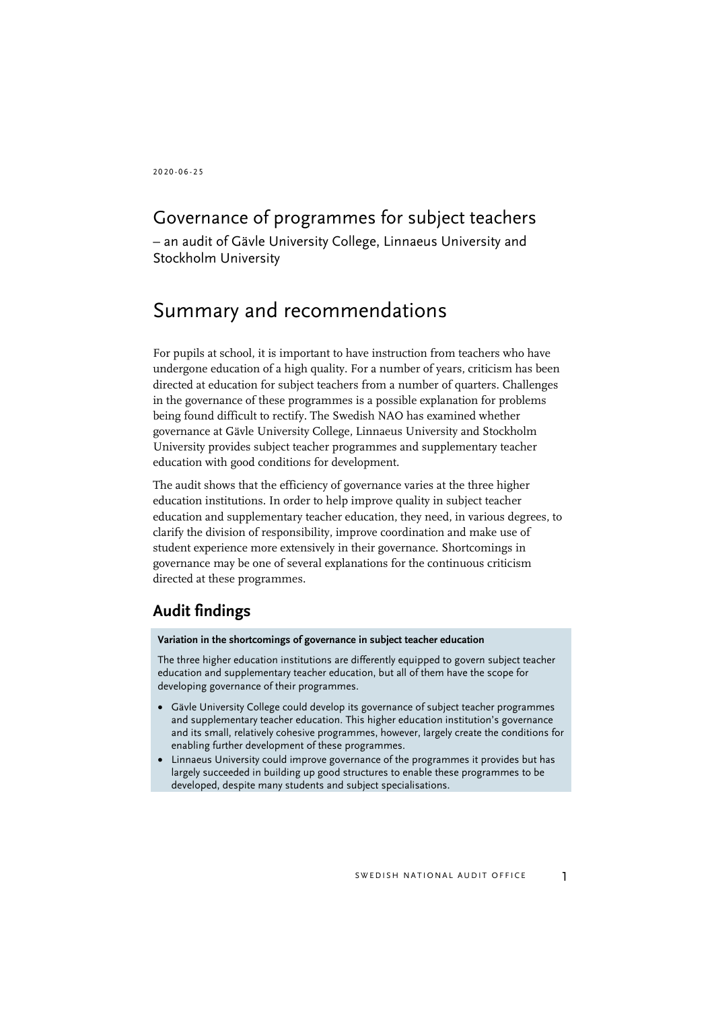2020 - 0 6 - 2 5

## Governance of programmes for subject teachers

– an audit of Gävle University College, Linnaeus University and Stockholm University

# Summary and recommendations

For pupils at school, it is important to have instruction from teachers who have undergone education of a high quality. For a number of years, criticism has been directed at education for subject teachers from a number of quarters. Challenges in the governance of these programmes is a possible explanation for problems being found difficult to rectify. The Swedish NAO has examined whether governance at Gävle University College, Linnaeus University and Stockholm University provides subject teacher programmes and supplementary teacher education with good conditions for development.

The audit shows that the efficiency of governance varies at the three higher education institutions. In order to help improve quality in subject teacher education and supplementary teacher education, they need, in various degrees, to clarify the division of responsibility, improve coordination and make use of student experience more extensively in their governance. Shortcomings in governance may be one of several explanations for the continuous criticism directed at these programmes.

## **Audit findings**

#### **Variation in the shortcomings of governance in subject teacher education**

The three higher education institutions are differently equipped to govern subject teacher education and supplementary teacher education, but all of them have the scope for developing governance of their programmes.

- Gävle University College could develop its governance of subject teacher programmes and supplementary teacher education. This higher education institution's governance and its small, relatively cohesive programmes, however, largely create the conditions for enabling further development of these programmes.
- Linnaeus University could improve governance of the programmes it provides but has largely succeeded in building up good structures to enable these programmes to be developed, despite many students and subject specialisations.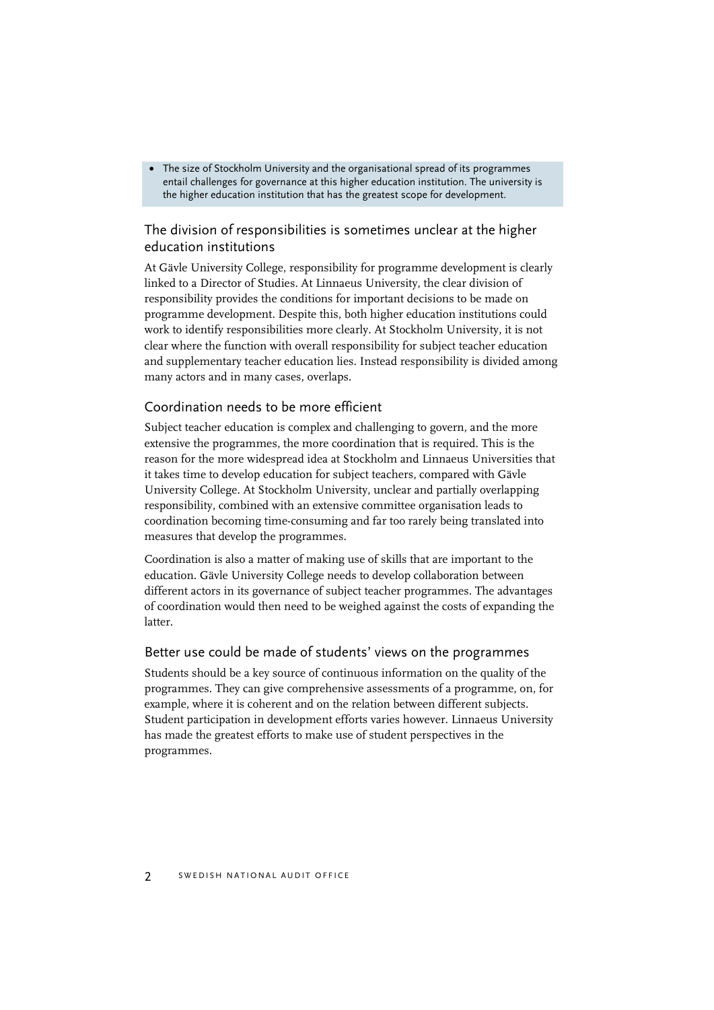• The size of Stockholm University and the organisational spread of its programmes entail challenges for governance at this higher education institution. The university is the higher education institution that has the greatest scope for development.

#### The division of responsibilities is sometimes unclear at the higher education institutions

At Gävle University College, responsibility for programme development is clearly linked to a Director of Studies. At Linnaeus University, the clear division of responsibility provides the conditions for important decisions to be made on programme development. Despite this, both higher education institutions could work to identify responsibilities more clearly. At Stockholm University, it is not clear where the function with overall responsibility for subject teacher education and supplementary teacher education lies. Instead responsibility is divided among many actors and in many cases, overlaps.

#### Coordination needs to be more efficient

Subject teacher education is complex and challenging to govern, and the more extensive the programmes, the more coordination that is required. This is the reason for the more widespread idea at Stockholm and Linnaeus Universities that it takes time to develop education for subject teachers, compared with Gävle University College. At Stockholm University, unclear and partially overlapping responsibility, combined with an extensive committee organisation leads to coordination becoming time-consuming and far too rarely being translated into measures that develop the programmes.

Coordination is also a matter of making use of skills that are important to the education. Gävle University College needs to develop collaboration between different actors in its governance of subject teacher programmes. The advantages of coordination would then need to be weighed against the costs of expanding the latter.

#### Better use could be made of students' views on the programmes

Students should be a key source of continuous information on the quality of the programmes. They can give comprehensive assessments of a programme, on, for example, where it is coherent and on the relation between different subjects. Student participation in development efforts varies however. Linnaeus University has made the greatest efforts to make use of student perspectives in the programmes.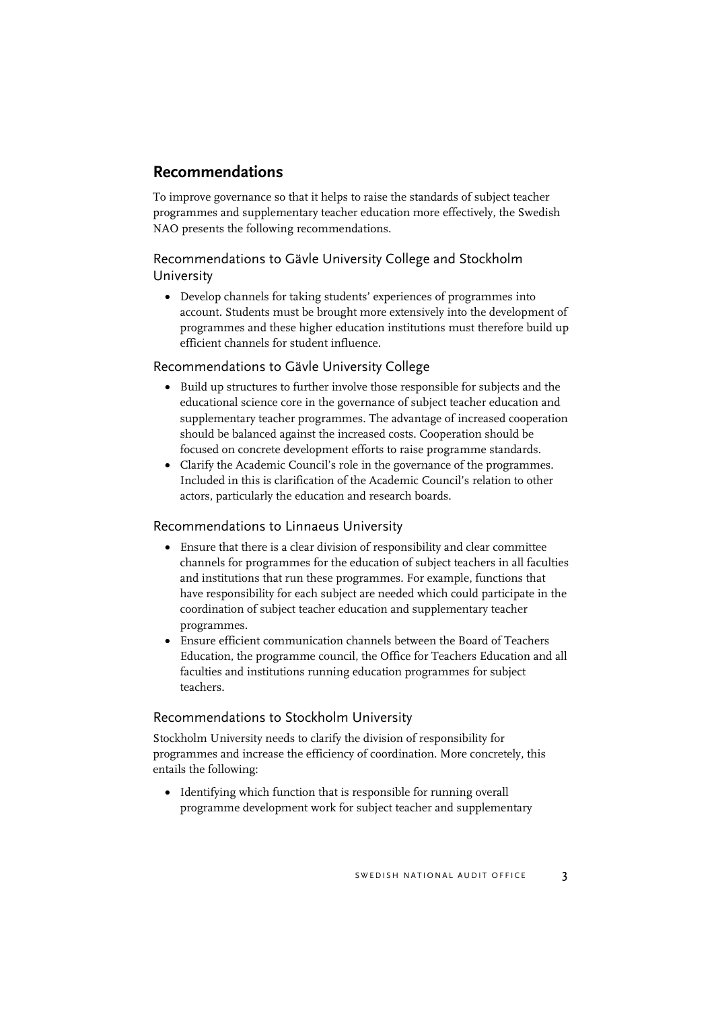## **Recommendations**

To improve governance so that it helps to raise the standards of subject teacher programmes and supplementary teacher education more effectively, the Swedish NAO presents the following recommendations.

#### Recommendations to Gävle University College and Stockholm University

• Develop channels for taking students' experiences of programmes into account. Students must be brought more extensively into the development of programmes and these higher education institutions must therefore build up efficient channels for student influence.

#### Recommendations to Gävle University College

- Build up structures to further involve those responsible for subjects and the educational science core in the governance of subject teacher education and supplementary teacher programmes. The advantage of increased cooperation should be balanced against the increased costs. Cooperation should be focused on concrete development efforts to raise programme standards.
- Clarify the Academic Council's role in the governance of the programmes. Included in this is clarification of the Academic Council's relation to other actors, particularly the education and research boards.

#### Recommendations to Linnaeus University

- Ensure that there is a clear division of responsibility and clear committee channels for programmes for the education of subject teachers in all faculties and institutions that run these programmes. For example, functions that have responsibility for each subject are needed which could participate in the coordination of subject teacher education and supplementary teacher programmes.
- Ensure efficient communication channels between the Board of Teachers Education, the programme council, the Office for Teachers Education and all faculties and institutions running education programmes for subject teachers.

#### Recommendations to Stockholm University

Stockholm University needs to clarify the division of responsibility for programmes and increase the efficiency of coordination. More concretely, this entails the following:

• Identifying which function that is responsible for running overall programme development work for subject teacher and supplementary